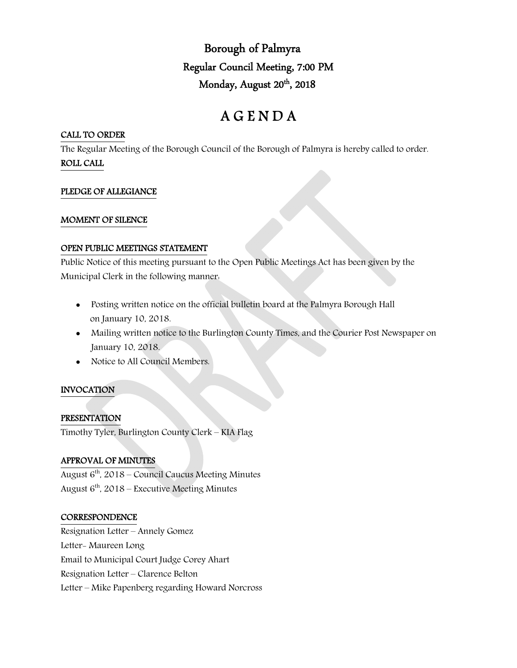Borough of Palmyra Regular Council Meeting, 7:00 PM Monday, August 20<sup>th</sup>, 2018

# A G E N D A

# CALL TO ORDER

The Regular Meeting of the Borough Council of the Borough of Palmyra is hereby called to order. ROLL CALL

# PLEDGE OF ALLEGIANCE

## MOMENT OF SILENCE

## OPEN PUBLIC MEETINGS STATEMENT

Public Notice of this meeting pursuant to the Open Public Meetings Act has been given by the Municipal Clerk in the following manner:

- Posting written notice on the official bulletin board at the Palmyra Borough Hall on January 10, 2018.
- Mailing written notice to the Burlington County Times, and the Courier Post Newspaper on January 10, 2018.
- Notice to All Council Members.

# INVOCATION

# PRESENTATION

Timothy Tyler, Burlington County Clerk – KIA Flag

# APPROVAL OF MINUTES

August  $6<sup>th</sup>$ , 2018 – Council Caucus Meeting Minutes August  $6<sup>th</sup>$ , 2018 – Executive Meeting Minutes

# **CORRESPONDENCE**

Resignation Letter – Annely Gomez Letter- Maureen Long Email to Municipal Court Judge Corey Ahart Resignation Letter – Clarence Belton Letter – Mike Papenberg regarding Howard Norcross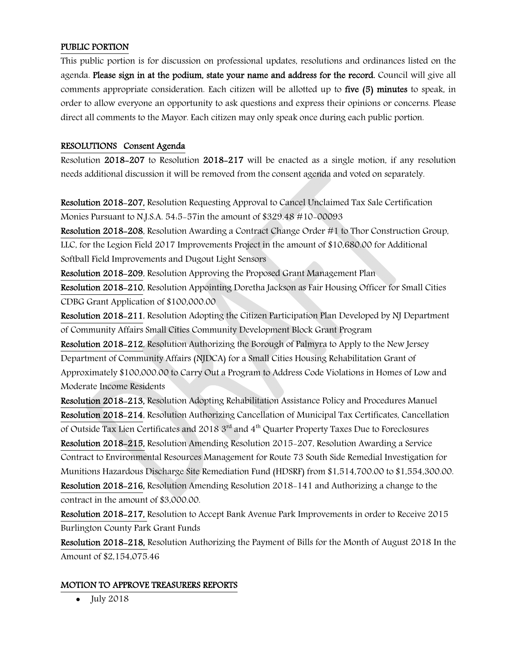## PUBLIC PORTION

This public portion is for discussion on professional updates, resolutions and ordinances listed on the agenda. Please sign in at the podium, state your name and address for the record. Council will give all comments appropriate consideration. Each citizen will be allotted up to five (5) minutes to speak, in order to allow everyone an opportunity to ask questions and express their opinions or concerns. Please direct all comments to the Mayor. Each citizen may only speak once during each public portion.

## RESOLUTIONS Consent Agenda

Resolution 2018-207 to Resolution 2018-217 will be enacted as a single motion, if any resolution needs additional discussion it will be removed from the consent agenda and voted on separately.

Resolution 2018-207, Resolution Requesting Approval to Cancel Unclaimed Tax Sale Certification Monies Pursuant to N.J.S.A. 54:5-57in the amount of \$329.48 #10-00093

Resolution 2018-208, Resolution Awarding a Contract Change Order #1 to Thor Construction Group, LLC, for the Legion Field 2017 Improvements Project in the amount of \$10,680.00 for Additional Softball Field Improvements and Dugout Light Sensors

Resolution 2018-209, Resolution Approving the Proposed Grant Management Plan

Resolution 2018-210, Resolution Appointing Doretha Jackson as Fair Housing Officer for Small Cities CDBG Grant Application of \$100,000.00

Resolution 2018-211, Resolution Adopting the Citizen Participation Plan Developed by NJ Department of Community Affairs Small Cities Community Development Block Grant Program

Resolution 2018-212, Resolution Authorizing the Borough of Palmyra to Apply to the New Jersey Department of Community Affairs (NJDCA) for a Small Cities Housing Rehabilitation Grant of Approximately \$100,000.00 to Carry Out a Program to Address Code Violations in Homes of Low and Moderate Income Residents

Resolution 2018-213, Resolution Adopting Rehabilitation Assistance Policy and Procedures Manuel Resolution 2018-214, Resolution Authorizing Cancellation of Municipal Tax Certificates, Cancellation of Outside Tax Lien Certificates and 2018 3<sup>rd</sup> and 4<sup>th</sup> Quarter Property Taxes Due to Foreclosures Resolution 2018-215, Resolution Amending Resolution 2015-207, Resolution Awarding a Service Contract to Environmental Resources Management for Route 73 South Side Remedial Investigation for Munitions Hazardous Discharge Site Remediation Fund (HDSRF) from \$1,514,700.00 to \$1,554,300.00. Resolution 2018-216, Resolution Amending Resolution 2018-141 and Authorizing a change to the contract in the amount of \$3,000.00.

Resolution 2018-217, Resolution to Accept Bank Avenue Park Improvements in order to Receive 2015 Burlington County Park Grant Funds

Resolution 2018-218, Resolution Authorizing the Payment of Bills for the Month of August 2018 In the Amount of \$2,154,075.46

# MOTION TO APPROVE TREASURERS REPORTS

 $\bullet$  July 2018